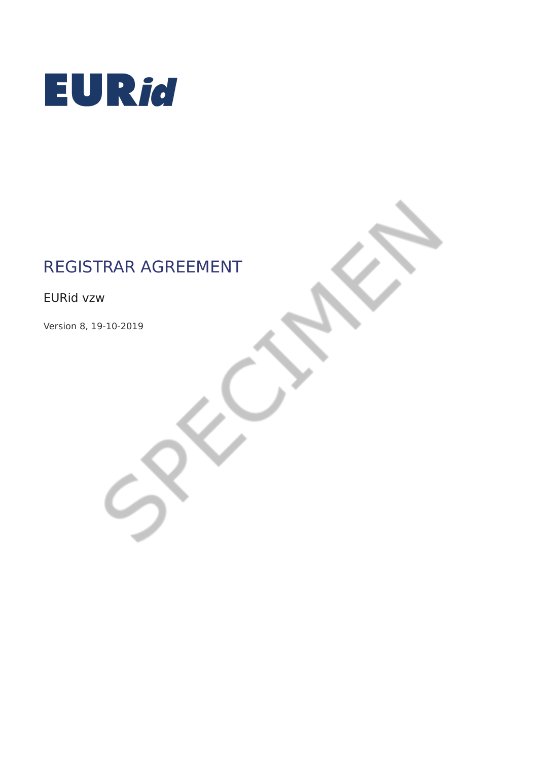

# REGISTRAR AGREEMENT

EURid vzw

Version 8, 19-10-2019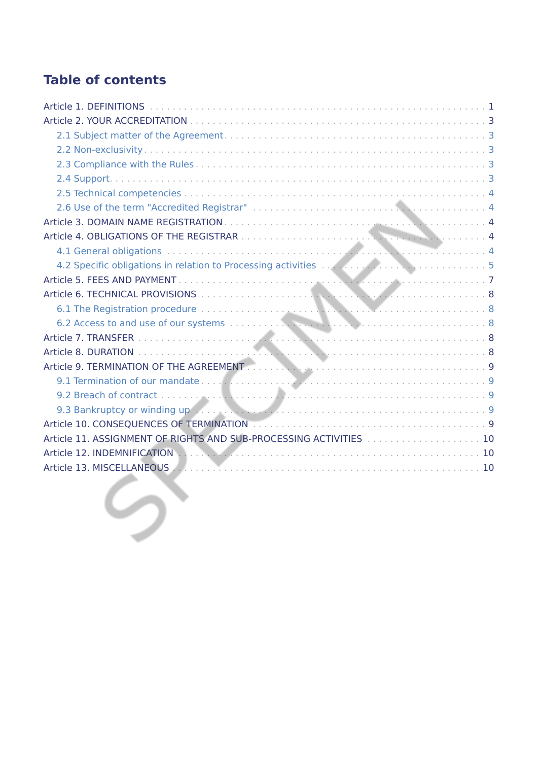# **Table of contents**

| Article 11. ASSIGNMENT OF RIGHTS AND SUB-PROCESSING ACTIVITIES  10 |
|--------------------------------------------------------------------|
|                                                                    |
|                                                                    |
|                                                                    |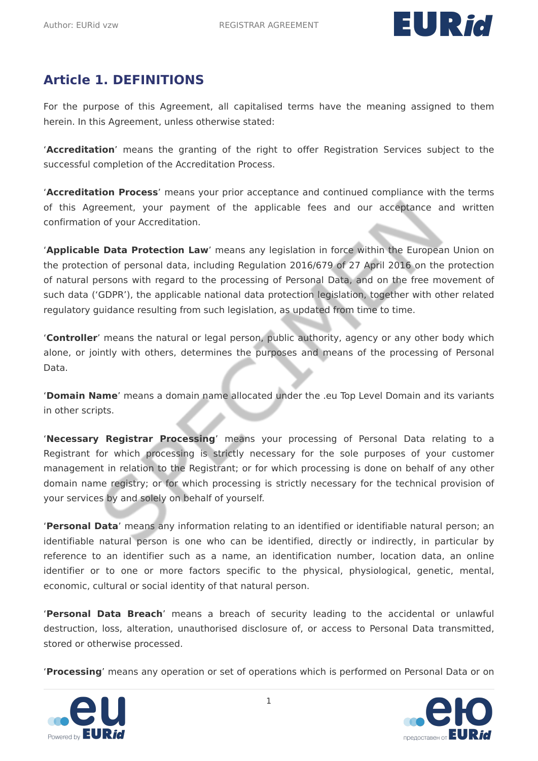

# <span id="page-2-0"></span>**Article 1. DEFINITIONS**

For the purpose of this Agreement, all capitalised terms have the meaning assigned to them herein. In this Agreement, unless otherwise stated:

'**Accreditation**' means the granting of the right to offer Registration Services subject to the successful completion of the Accreditation Process.

'**Accreditation Process**' means your prior acceptance and continued compliance with the terms of this Agreement, your payment of the applicable fees and our acceptance and written confirmation of your Accreditation.

'**Applicable Data Protection Law**' means any legislation in force within the European Union on the protection of personal data, including Regulation 2016/679 of 27 April 2016 on the protection of natural persons with regard to the processing of Personal Data, and on the free movement of such data ('GDPR'), the applicable national data protection legislation, together with other related regulatory guidance resulting from such legislation, as updated from time to time.

'**Controller**' means the natural or legal person, public authority, agency or any other body which alone, or jointly with others, determines the purposes and means of the processing of Personal Data.

'**Domain Name**' means a domain name allocated under the .eu Top Level Domain and its variants in other scripts.

'**Necessary Registrar Processing**' means your processing of Personal Data relating to a Registrant for which processing is strictly necessary for the sole purposes of your customer management in relation to the Registrant; or for which processing is done on behalf of any other domain name registry; or for which processing is strictly necessary for the technical provision of your services by and solely on behalf of yourself.

'**Personal Data**' means any information relating to an identified or identifiable natural person; an identifiable natural person is one who can be identified, directly or indirectly, in particular by reference to an identifier such as a name, an identification number, location data, an online identifier or to one or more factors specific to the physical, physiological, genetic, mental, economic, cultural or social identity of that natural person.

'**Personal Data Breach**' means a breach of security leading to the accidental or unlawful destruction, loss, alteration, unauthorised disclosure of, or access to Personal Data transmitted, stored or otherwise processed.

'**Processing**' means any operation or set of operations which is performed on Personal Data or on



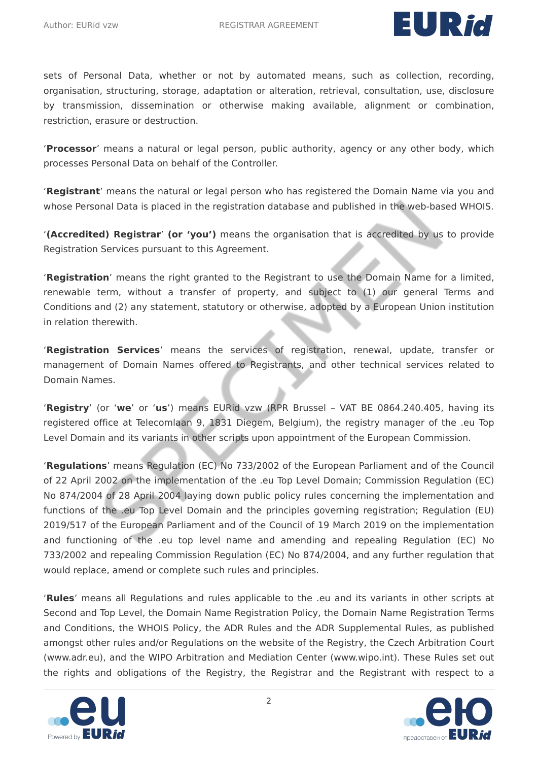

sets of Personal Data, whether or not by automated means, such as collection, recording, organisation, structuring, storage, adaptation or alteration, retrieval, consultation, use, disclosure by transmission, dissemination or otherwise making available, alignment or combination, restriction, erasure or destruction.

'**Processor**' means a natural or legal person, public authority, agency or any other body, which processes Personal Data on behalf of the Controller.

'**Registrant**' means the natural or legal person who has registered the Domain Name via you and whose Personal Data is placed in the registration database and published in the web-based WHOIS.

'**(Accredited) Registrar**' **(or 'you')** means the organisation that is accredited by us to provide Registration Services pursuant to this Agreement.

'**Registration**' means the right granted to the Registrant to use the Domain Name for a limited, renewable term, without a transfer of property, and subject to (1) our general Terms and Conditions and (2) any statement, statutory or otherwise, adopted by a European Union institution in relation therewith.

'**Registration Services**' means the services of registration, renewal, update, transfer or management of Domain Names offered to Registrants, and other technical services related to Domain Names.

'**Registry**' (or '**we**' or '**us**') means EURid vzw (RPR Brussel – VAT BE 0864.240.405, having its registered office at Telecomlaan 9, 1831 Diegem, Belgium), the registry manager of the .eu Top Level Domain and its variants in other scripts upon appointment of the European Commission.

'**Regulations**' means Regulation (EC) No 733/2002 of the European Parliament and of the Council of 22 April 2002 on the implementation of the .eu Top Level Domain; Commission Regulation (EC) No 874/2004 of 28 April 2004 laying down public policy rules concerning the implementation and functions of the .eu Top Level Domain and the principles governing registration; Regulation (EU) 2019/517 of the European Parliament and of the Council of 19 March 2019 on the implementation and functioning of the .eu top level name and amending and repealing Regulation (EC) No 733/2002 and repealing Commission Regulation (EC) No 874/2004, and any further regulation that would replace, amend or complete such rules and principles.

'**Rules**' means all Regulations and rules applicable to the .eu and its variants in other scripts at Second and Top Level, the Domain Name Registration Policy, the Domain Name Registration Terms and Conditions, the WHOIS Policy, the ADR Rules and the ADR Supplemental Rules, as published amongst other rules and/or Regulations on the website of the Registry, the Czech Arbitration Court (www.adr.eu), and the WIPO Arbitration and Mediation Center (www.wipo.int). These Rules set out the rights and obligations of the Registry, the Registrar and the Registrant with respect to a



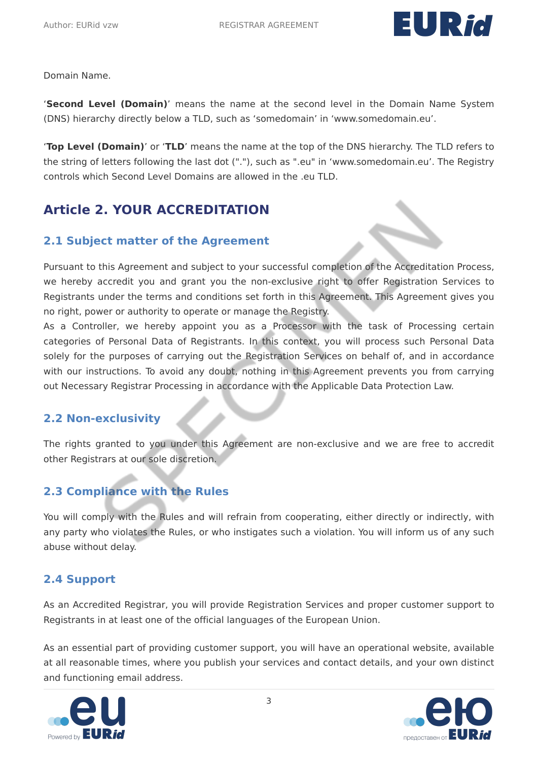

Domain Name.

'**Second Level (Domain)**' means the name at the second level in the Domain Name System (DNS) hierarchy directly below a TLD, such as 'somedomain' in 'www.somedomain.eu'.

'**Top Level (Domain)**' or '**TLD**' means the name at the top of the DNS hierarchy. The TLD refers to the string of letters following the last dot ("."), such as ".eu" in 'www.somedomain.eu'. The Registry controls which Second Level Domains are allowed in the .eu TLD.

# <span id="page-4-0"></span>**Article 2. YOUR ACCREDITATION**

#### <span id="page-4-1"></span>**2.1 Subject matter of the Agreement**

Pursuant to this Agreement and subject to your successful completion of the Accreditation Process, we hereby accredit you and grant you the non-exclusive right to offer Registration Services to Registrants under the terms and conditions set forth in this Agreement. This Agreement gives you no right, power or authority to operate or manage the Registry.

As a Controller, we hereby appoint you as a Processor with the task of Processing certain categories of Personal Data of Registrants. In this context, you will process such Personal Data solely for the purposes of carrying out the Registration Services on behalf of, and in accordance with our instructions. To avoid any doubt, nothing in this Agreement prevents you from carrying out Necessary Registrar Processing in accordance with the Applicable Data Protection Law.

#### <span id="page-4-2"></span>**2.2 Non-exclusivity**

The rights granted to you under this Agreement are non-exclusive and we are free to accredit other Registrars at our sole discretion.

### <span id="page-4-3"></span>**2.3 Compliance with the Rules**

You will comply with the Rules and will refrain from cooperating, either directly or indirectly, with any party who violates the Rules, or who instigates such a violation. You will inform us of any such abuse without delay.

### <span id="page-4-4"></span>**2.4 Support**

As an Accredited Registrar, you will provide Registration Services and proper customer support to Registrants in at least one of the official languages of the European Union.

As an essential part of providing customer support, you will have an operational website, available at all reasonable times, where you publish your services and contact details, and your own distinct and functioning email address.



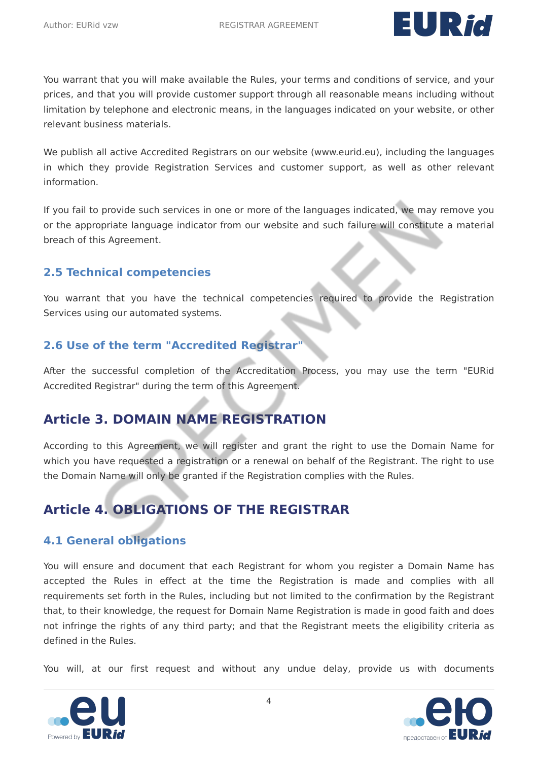

You warrant that you will make available the Rules, your terms and conditions of service, and your prices, and that you will provide customer support through all reasonable means including without limitation by telephone and electronic means, in the languages indicated on your website, or other relevant business materials.

We publish all active Accredited Registrars on our website (www.eurid.eu), including the languages in which they provide Registration Services and customer support, as well as other relevant information.

If you fail to provide such services in one or more of the languages indicated, we may remove you or the appropriate language indicator from our website and such failure will constitute a material breach of this Agreement.

#### <span id="page-5-0"></span>**2.5 Technical competencies**

You warrant that you have the technical competencies required to provide the Registration Services using our automated systems.

#### <span id="page-5-1"></span>**2.6 Use of the term "Accredited Registrar"**

After the successful completion of the Accreditation Process, you may use the term "EURid Accredited Registrar" during the term of this Agreement.

### <span id="page-5-2"></span>**Article 3. DOMAIN NAME REGISTRATION**

According to this Agreement, we will register and grant the right to use the Domain Name for which you have requested a registration or a renewal on behalf of the Registrant. The right to use the Domain Name will only be granted if the Registration complies with the Rules.

# <span id="page-5-3"></span>**Article 4. OBLIGATIONS OF THE REGISTRAR**

#### <span id="page-5-4"></span>**4.1 General obligations**

You will ensure and document that each Registrant for whom you register a Domain Name has accepted the Rules in effect at the time the Registration is made and complies with all requirements set forth in the Rules, including but not limited to the confirmation by the Registrant that, to their knowledge, the request for Domain Name Registration is made in good faith and does not infringe the rights of any third party; and that the Registrant meets the eligibility criteria as defined in the Rules.

You will, at our first request and without any undue delay, provide us with documents



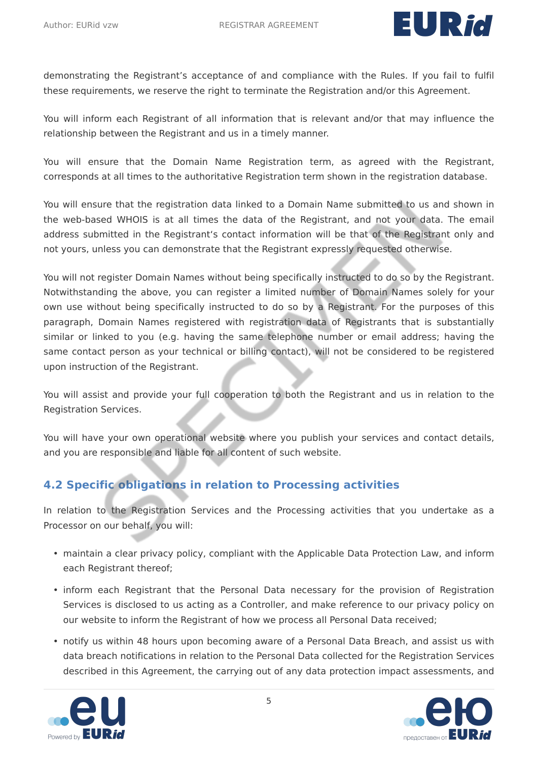

demonstrating the Registrant's acceptance of and compliance with the Rules. If you fail to fulfil these requirements, we reserve the right to terminate the Registration and/or this Agreement.

You will inform each Registrant of all information that is relevant and/or that may influence the relationship between the Registrant and us in a timely manner.

You will ensure that the Domain Name Registration term, as agreed with the Registrant, corresponds at all times to the authoritative Registration term shown in the registration database.

You will ensure that the registration data linked to a Domain Name submitted to us and shown in the web-based WHOIS is at all times the data of the Registrant, and not your data. The email address submitted in the Registrant's contact information will be that of the Registrant only and not yours, unless you can demonstrate that the Registrant expressly requested otherwise.

You will not register Domain Names without being specifically instructed to do so by the Registrant. Notwithstanding the above, you can register a limited number of Domain Names solely for your own use without being specifically instructed to do so by a Registrant. For the purposes of this paragraph, Domain Names registered with registration data of Registrants that is substantially similar or linked to you (e.g. having the same telephone number or email address; having the same contact person as your technical or billing contact), will not be considered to be registered upon instruction of the Registrant.

You will assist and provide your full cooperation to both the Registrant and us in relation to the Registration Services.

You will have your own operational website where you publish your services and contact details, and you are responsible and liable for all content of such website.

### <span id="page-6-0"></span>**4.2 Specific obligations in relation to Processing activities**

In relation to the Registration Services and the Processing activities that you undertake as a Processor on our behalf, you will:

- maintain a clear privacy policy, compliant with the Applicable Data Protection Law, and inform each Registrant thereof;
- inform each Registrant that the Personal Data necessary for the provision of Registration Services is disclosed to us acting as a Controller, and make reference to our privacy policy on our website to inform the Registrant of how we process all Personal Data received;
- notify us within 48 hours upon becoming aware of a Personal Data Breach, and assist us with data breach notifications in relation to the Personal Data collected for the Registration Services described in this Agreement, the carrying out of any data protection impact assessments, and



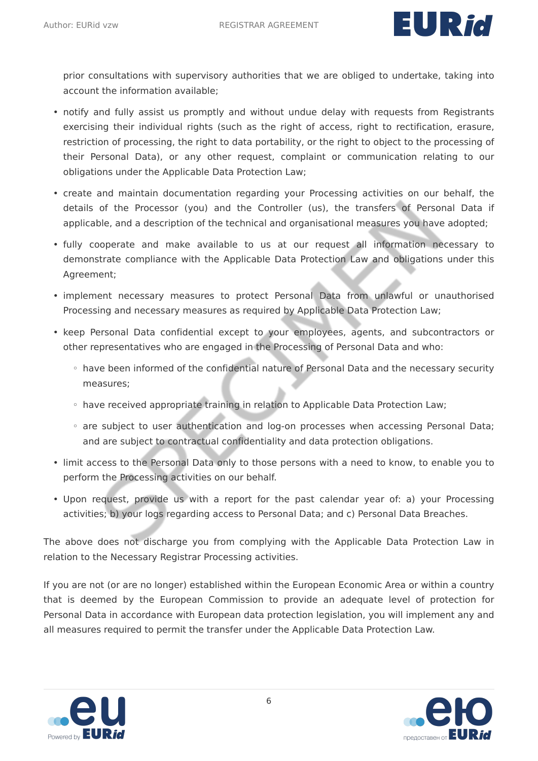

prior consultations with supervisory authorities that we are obliged to undertake, taking into account the information available;

- notify and fully assist us promptly and without undue delay with requests from Registrants exercising their individual rights (such as the right of access, right to rectification, erasure, restriction of processing, the right to data portability, or the right to object to the processing of their Personal Data), or any other request, complaint or communication relating to our obligations under the Applicable Data Protection Law;
- create and maintain documentation regarding your Processing activities on our behalf, the details of the Processor (you) and the Controller (us), the transfers of Personal Data if applicable, and a description of the technical and organisational measures you have adopted;
- fully cooperate and make available to us at our request all information necessary to demonstrate compliance with the Applicable Data Protection Law and obligations under this Agreement;
- implement necessary measures to protect Personal Data from unlawful or unauthorised Processing and necessary measures as required by Applicable Data Protection Law;
- keep Personal Data confidential except to your employees, agents, and subcontractors or other representatives who are engaged in the Processing of Personal Data and who:
	- have been informed of the confidential nature of Personal Data and the necessary security measures;
	- have received appropriate training in relation to Applicable Data Protection Law;
	- are subject to user authentication and log-on processes when accessing Personal Data; and are subject to contractual confidentiality and data protection obligations.
- limit access to the Personal Data only to those persons with a need to know, to enable you to perform the Processing activities on our behalf.
- Upon request, provide us with a report for the past calendar year of: a) your Processing activities; b) your logs regarding access to Personal Data; and c) Personal Data Breaches.

The above does not discharge you from complying with the Applicable Data Protection Law in relation to the Necessary Registrar Processing activities.

If you are not (or are no longer) established within the European Economic Area or within a country that is deemed by the European Commission to provide an adequate level of protection for Personal Data in accordance with European data protection legislation, you will implement any and all measures required to permit the transfer under the Applicable Data Protection Law.



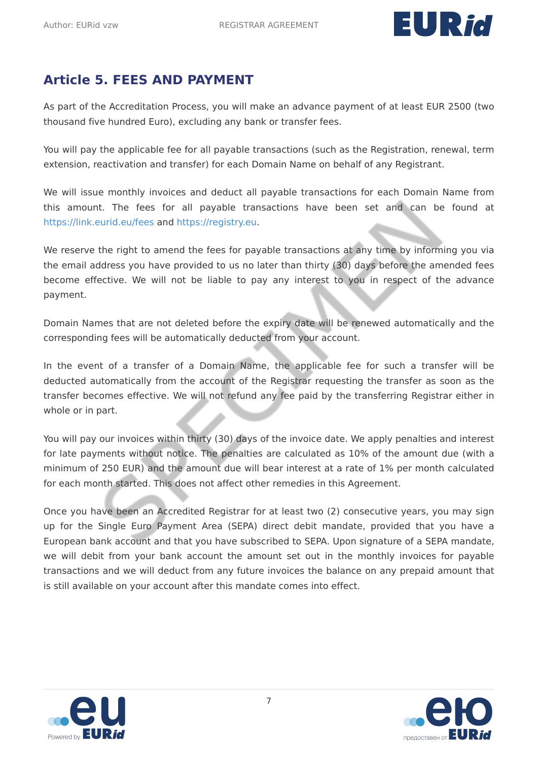

# <span id="page-8-0"></span>**Article 5. FEES AND PAYMENT**

As part of the Accreditation Process, you will make an advance payment of at least EUR 2500 (two thousand five hundred Euro), excluding any bank or transfer fees.

You will pay the applicable fee for all payable transactions (such as the Registration, renewal, term extension, reactivation and transfer) for each Domain Name on behalf of any Registrant.

We will issue monthly invoices and deduct all payable transactions for each Domain Name from this amount. The fees for all payable transactions have been set and can be found at <https://link.eurid.eu/fees>and <https://registry.eu>.

We reserve the right to amend the fees for payable transactions at any time by informing you via the email address you have provided to us no later than thirty (30) days before the amended fees become effective. We will not be liable to pay any interest to you in respect of the advance payment.

Domain Names that are not deleted before the expiry date will be renewed automatically and the corresponding fees will be automatically deducted from your account.

In the event of a transfer of a Domain Name, the applicable fee for such a transfer will be deducted automatically from the account of the Registrar requesting the transfer as soon as the transfer becomes effective. We will not refund any fee paid by the transferring Registrar either in whole or in part.

You will pay our invoices within thirty (30) days of the invoice date. We apply penalties and interest for late payments without notice. The penalties are calculated as 10% of the amount due (with a minimum of 250 EUR) and the amount due will bear interest at a rate of 1% per month calculated for each month started. This does not affect other remedies in this Agreement.

Once you have been an Accredited Registrar for at least two (2) consecutive years, you may sign up for the Single Euro Payment Area (SEPA) direct debit mandate, provided that you have a European bank account and that you have subscribed to SEPA. Upon signature of a SEPA mandate, we will debit from your bank account the amount set out in the monthly invoices for payable transactions and we will deduct from any future invoices the balance on any prepaid amount that is still available on your account after this mandate comes into effect.



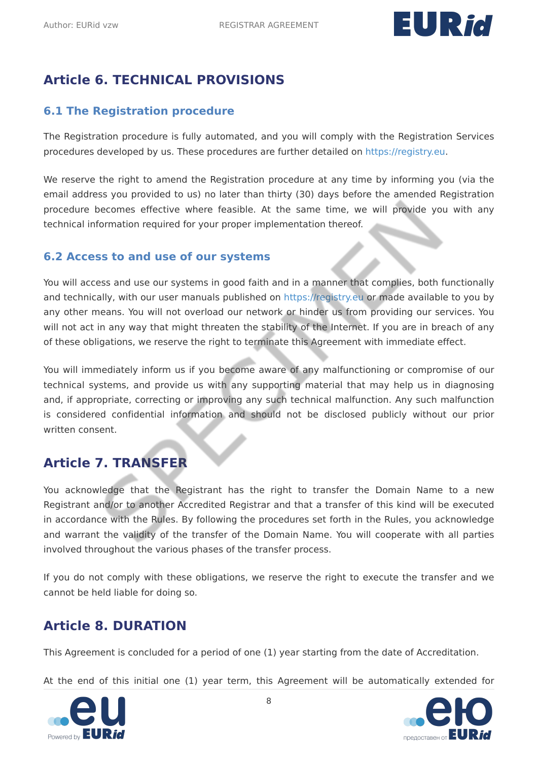

# <span id="page-9-0"></span>**Article 6. TECHNICAL PROVISIONS**

#### <span id="page-9-1"></span>**6.1 The Registration procedure**

The Registration procedure is fully automated, and you will comply with the Registration Services procedures developed by us. These procedures are further detailed on [https://registry.eu.](https://registry.eu)

We reserve the right to amend the Registration procedure at any time by informing you (via the email address you provided to us) no later than thirty (30) days before the amended Registration procedure becomes effective where feasible. At the same time, we will provide you with any technical information required for your proper implementation thereof.

#### <span id="page-9-2"></span>**6.2 Access to and use of our systems**

You will access and use our systems in good faith and in a manner that complies, both functionally and technically, with our user manuals published on<https://registry.eu>or made available to you by any other means. You will not overload our network or hinder us from providing our services. You will not act in any way that might threaten the stability of the Internet. If you are in breach of any of these obligations, we reserve the right to terminate this Agreement with immediate effect.

You will immediately inform us if you become aware of any malfunctioning or compromise of our technical systems, and provide us with any supporting material that may help us in diagnosing and, if appropriate, correcting or improving any such technical malfunction. Any such malfunction is considered confidential information and should not be disclosed publicly without our prior written consent.

### <span id="page-9-3"></span>**Article 7. TRANSFER**

You acknowledge that the Registrant has the right to transfer the Domain Name to a new Registrant and/or to another Accredited Registrar and that a transfer of this kind will be executed in accordance with the Rules. By following the procedures set forth in the Rules, you acknowledge and warrant the validity of the transfer of the Domain Name. You will cooperate with all parties involved throughout the various phases of the transfer process.

If you do not comply with these obligations, we reserve the right to execute the transfer and we cannot be held liable for doing so.

### <span id="page-9-4"></span>**Article 8. DURATION**

This Agreement is concluded for a period of one (1) year starting from the date of Accreditation.

At the end of this initial one (1) year term, this Agreement will be automatically extended for



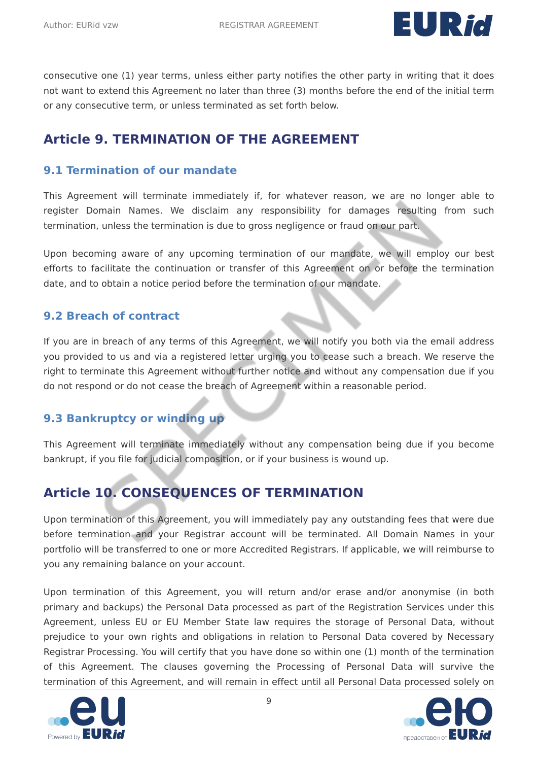

consecutive one (1) year terms, unless either party notifies the other party in writing that it does not want to extend this Agreement no later than three (3) months before the end of the initial term or any consecutive term, or unless terminated as set forth below.

### <span id="page-10-0"></span>**Article 9. TERMINATION OF THE AGREEMENT**

#### <span id="page-10-1"></span>**9.1 Termination of our mandate**

This Agreement will terminate immediately if, for whatever reason, we are no longer able to register Domain Names. We disclaim any responsibility for damages resulting from such termination, unless the termination is due to gross negligence or fraud on our part.

Upon becoming aware of any upcoming termination of our mandate, we will employ our best efforts to facilitate the continuation or transfer of this Agreement on or before the termination date, and to obtain a notice period before the termination of our mandate.

#### <span id="page-10-2"></span>**9.2 Breach of contract**

If you are in breach of any terms of this Agreement, we will notify you both via the email address you provided to us and via a registered letter urging you to cease such a breach. We reserve the right to terminate this Agreement without further notice and without any compensation due if you do not respond or do not cease the breach of Agreement within a reasonable period.

#### <span id="page-10-3"></span>**9.3 Bankruptcy or winding up**

This Agreement will terminate immediately without any compensation being due if you become bankrupt, if you file for judicial composition, or if your business is wound up.

# <span id="page-10-4"></span>**Article 10. CONSEQUENCES OF TERMINATION**

Upon termination of this Agreement, you will immediately pay any outstanding fees that were due before termination and your Registrar account will be terminated. All Domain Names in your portfolio will be transferred to one or more Accredited Registrars. If applicable, we will reimburse to you any remaining balance on your account.

Upon termination of this Agreement, you will return and/or erase and/or anonymise (in both primary and backups) the Personal Data processed as part of the Registration Services under this Agreement, unless EU or EU Member State law requires the storage of Personal Data, without prejudice to your own rights and obligations in relation to Personal Data covered by Necessary Registrar Processing. You will certify that you have done so within one (1) month of the termination of this Agreement. The clauses governing the Processing of Personal Data will survive the termination of this Agreement, and will remain in effect until all Personal Data processed solely on



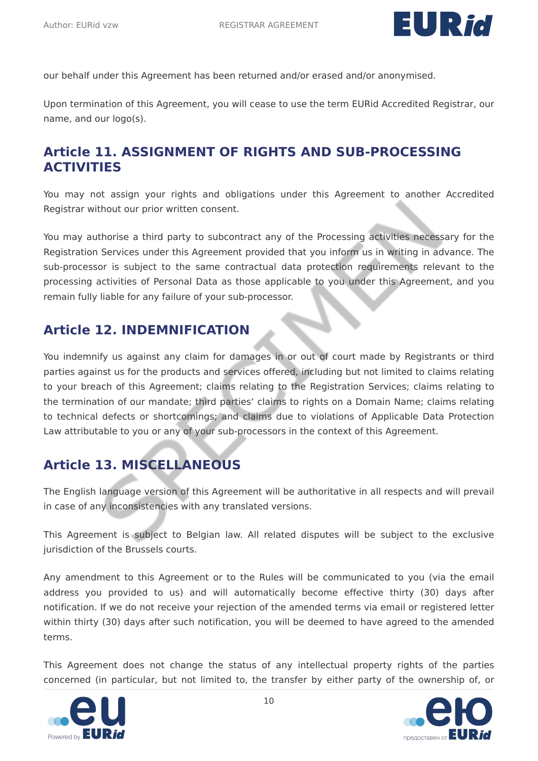

our behalf under this Agreement has been returned and/or erased and/or anonymised.

Upon termination of this Agreement, you will cease to use the term EURid Accredited Registrar, our name, and our logo(s).

### <span id="page-11-0"></span>**Article 11. ASSIGNMENT OF RIGHTS AND SUB-PROCESSING ACTIVITIES**

You may not assign your rights and obligations under this Agreement to another Accredited Registrar without our prior written consent.

You may authorise a third party to subcontract any of the Processing activities necessary for the Registration Services under this Agreement provided that you inform us in writing in advance. The sub-processor is subject to the same contractual data protection requirements relevant to the processing activities of Personal Data as those applicable to you under this Agreement, and you remain fully liable for any failure of your sub-processor.

### <span id="page-11-1"></span>**Article 12. INDEMNIFICATION**

You indemnify us against any claim for damages in or out of court made by Registrants or third parties against us for the products and services offered, including but not limited to claims relating to your breach of this Agreement; claims relating to the Registration Services; claims relating to the termination of our mandate; third parties' claims to rights on a Domain Name; claims relating to technical defects or shortcomings; and claims due to violations of Applicable Data Protection Law attributable to you or any of your sub-processors in the context of this Agreement.

# <span id="page-11-2"></span>**Article 13. MISCELLANEOUS**

The English language version of this Agreement will be authoritative in all respects and will prevail in case of any inconsistencies with any translated versions.

This Agreement is subject to Belgian law. All related disputes will be subject to the exclusive jurisdiction of the Brussels courts.

Any amendment to this Agreement or to the Rules will be communicated to you (via the email address you provided to us) and will automatically become effective thirty (30) days after notification. If we do not receive your rejection of the amended terms via email or registered letter within thirty (30) days after such notification, you will be deemed to have agreed to the amended terms.

This Agreement does not change the status of any intellectual property rights of the parties concerned (in particular, but not limited to, the transfer by either party of the ownership of, or